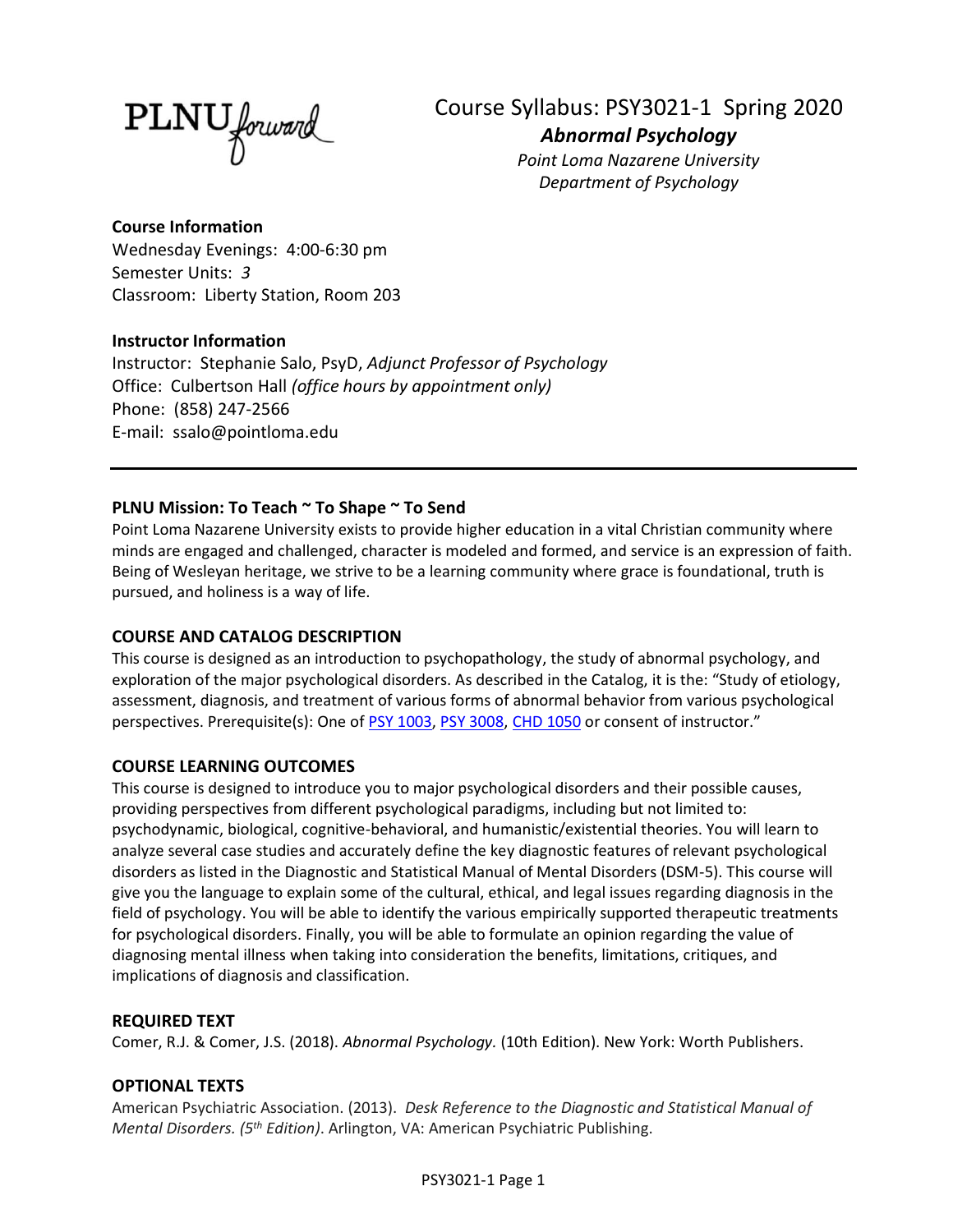PLNU forward

Course Syllabus: PSY3021-1 Spring 2020 *Abnormal Psychology*

*Point Loma Nazarene University Department of Psychology*

# **Course Information**

Wednesday Evenings: 4:00-6:30 pm Semester Units: *3* Classroom: Liberty Station, Room 203

# **Instructor Information**

Instructor: Stephanie Salo, PsyD, *Adjunct Professor of Psychology* Office: Culbertson Hall *(office hours by appointment only)* Phone: (858) 247-2566 E-mail: ssalo@pointloma.edu

# **PLNU Mission: To Teach ~ To Shape ~ To Send**

Point Loma Nazarene University exists to provide higher education in a vital Christian community where minds are engaged and challenged, character is modeled and formed, and service is an expression of faith. Being of Wesleyan heritage, we strive to be a learning community where grace is foundational, truth is pursued, and holiness is a way of life.

# **COURSE AND CATALOG DESCRIPTION**

This course is designed as an introduction to psychopathology, the study of abnormal psychology, and exploration of the major psychological disorders. As described in the Catalog, it is the: "Study of etiology, assessment, diagnosis, and treatment of various forms of abnormal behavior from various psychological perspectives. Prerequisite(s): One of [PSY 1003,](https://catalog.pointloma.edu/search_advanced.php?cur_cat_oid=35&search_database=Search&search_db=Search&cpage=1&ecpage=1&ppage=1&spage=1&tpage=1&location=3&filter%5Bkeyword%5D=PSY321#tt7283) [PSY 3008,](https://catalog.pointloma.edu/search_advanced.php?cur_cat_oid=35&search_database=Search&search_db=Search&cpage=1&ecpage=1&ppage=1&spage=1&tpage=1&location=3&filter%5Bkeyword%5D=PSY321#tt3310) CHD [1050](https://catalog.pointloma.edu/search_advanced.php?cur_cat_oid=35&search_database=Search&search_db=Search&cpage=1&ecpage=1&ppage=1&spage=1&tpage=1&location=3&filter%5Bkeyword%5D=PSY321#tt1004) or consent of instructor."

# **COURSE LEARNING OUTCOMES**

This course is designed to introduce you to major psychological disorders and their possible causes, providing perspectives from different psychological paradigms, including but not limited to: psychodynamic, biological, cognitive-behavioral, and humanistic/existential theories. You will learn to analyze several case studies and accurately define the key diagnostic features of relevant psychological disorders as listed in the Diagnostic and Statistical Manual of Mental Disorders (DSM-5). This course will give you the language to explain some of the cultural, ethical, and legal issues regarding diagnosis in the field of psychology. You will be able to identify the various empirically supported therapeutic treatments for psychological disorders. Finally, you will be able to formulate an opinion regarding the value of diagnosing mental illness when taking into consideration the benefits, limitations, critiques, and implications of diagnosis and classification.

# **REQUIRED TEXT**

Comer, R.J. & Comer, J.S. (2018). *Abnormal Psychology.* (10th Edition). New York: Worth Publishers.

# **OPTIONAL TEXTS**

American Psychiatric Association. (2013). *Desk Reference to the Diagnostic and Statistical Manual of Mental Disorders. (5 th Edition)*. Arlington, VA: American Psychiatric Publishing.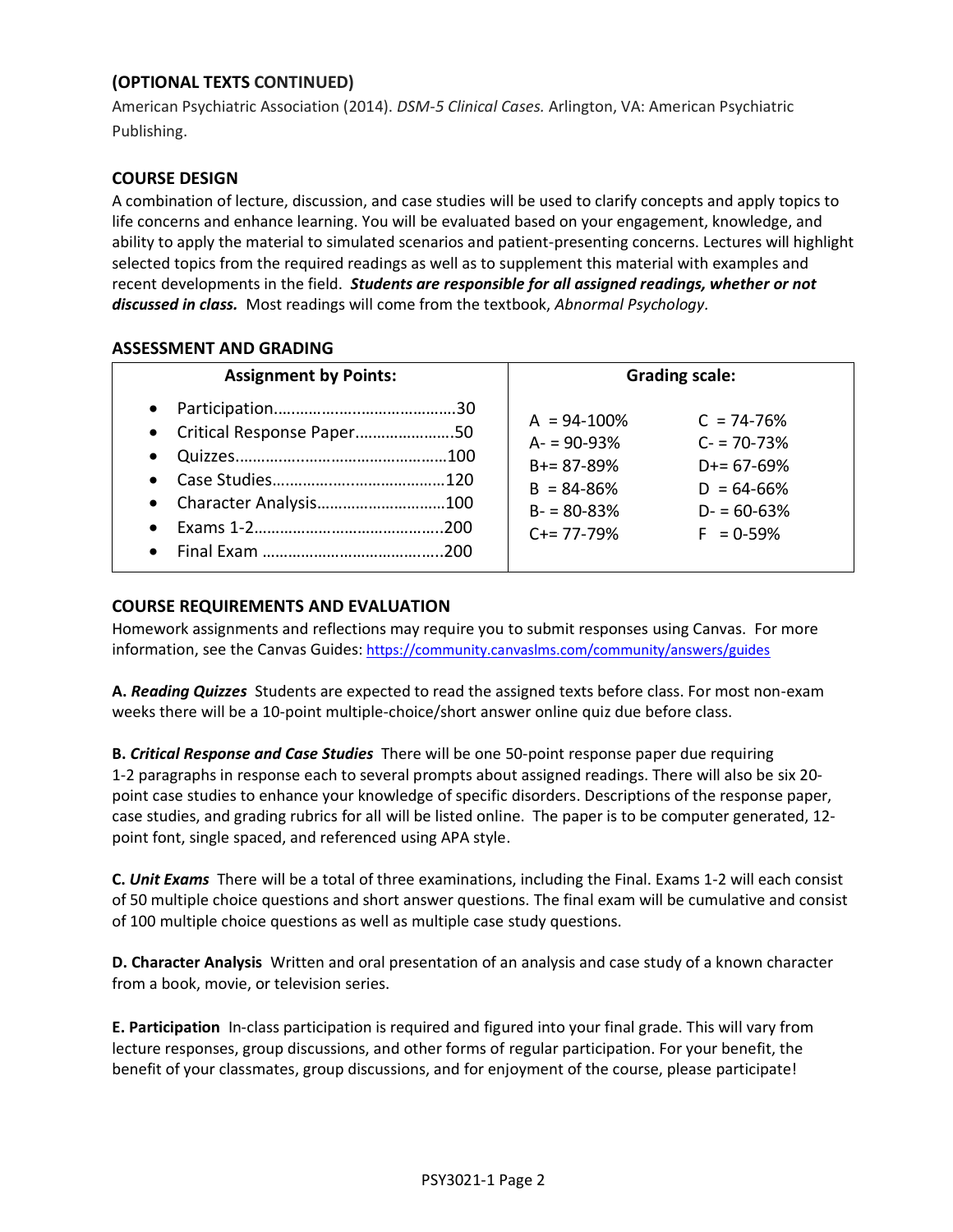# **(OPTIONAL TEXTS CONTINUED)**

American Psychiatric Association (2014). *DSM-5 Clinical Cases.* Arlington, VA: American Psychiatric Publishing.

## **COURSE DESIGN**

A combination of lecture, discussion, and case studies will be used to clarify concepts and apply topics to life concerns and enhance learning. You will be evaluated based on your engagement, knowledge, and ability to apply the material to simulated scenarios and patient-presenting concerns. Lectures will highlight selected topics from the required readings as well as to supplement this material with examples and recent developments in the field. *Students are responsible for all assigned readings, whether or not discussed in class.* Most readings will come from the textbook, *Abnormal Psychology.*

## **ASSESSMENT AND GRADING**

| <b>Assignment by Points:</b>                                        | <b>Grading scale:</b>                                                                                                                                                                                       |
|---------------------------------------------------------------------|-------------------------------------------------------------------------------------------------------------------------------------------------------------------------------------------------------------|
| $\bullet$<br>• Critical Response Paper50<br>• Character Analysis100 | $A = 94 - 100\%$<br>$C = 74 - 76%$<br>$A = 90-93%$<br>$C = 70 - 73%$<br>$B+= 87 - 89%$<br>$D+= 67-69%$<br>$B = 84 - 86%$<br>$D = 64-66%$<br>$B - 80 - 83%$<br>$D - 60 - 63%$<br>$C+= 77-79%$<br>$F = 0.59%$ |

### **COURSE REQUIREMENTS AND EVALUATION**

Homework assignments and reflections may require you to submit responses using Canvas. For more information, see the Canvas Guides: <https://community.canvaslms.com/community/answers/guides>

**A.** *Reading Quizzes* Students are expected to read the assigned texts before class. For most non-exam weeks there will be a 10-point multiple-choice/short answer online quiz due before class.

**B.** *Critical Response and Case Studies* There will be one 50-point response paper due requiring 1-2 paragraphs in response each to several prompts about assigned readings. There will also be six 20 point case studies to enhance your knowledge of specific disorders. Descriptions of the response paper, case studies, and grading rubrics for all will be listed online. The paper is to be computer generated, 12 point font, single spaced, and referenced using APA style.

**C.** *Unit Exams* There will be a total of three examinations, including the Final. Exams 1-2 will each consist of 50 multiple choice questions and short answer questions. The final exam will be cumulative and consist of 100 multiple choice questions as well as multiple case study questions.

**D. Character Analysis**Written and oral presentation of an analysis and case study of a known character from a book, movie, or television series.

**E. Participation**In-class participation is required and figured into your final grade. This will vary from lecture responses, group discussions, and other forms of regular participation. For your benefit, the benefit of your classmates, group discussions, and for enjoyment of the course, please participate!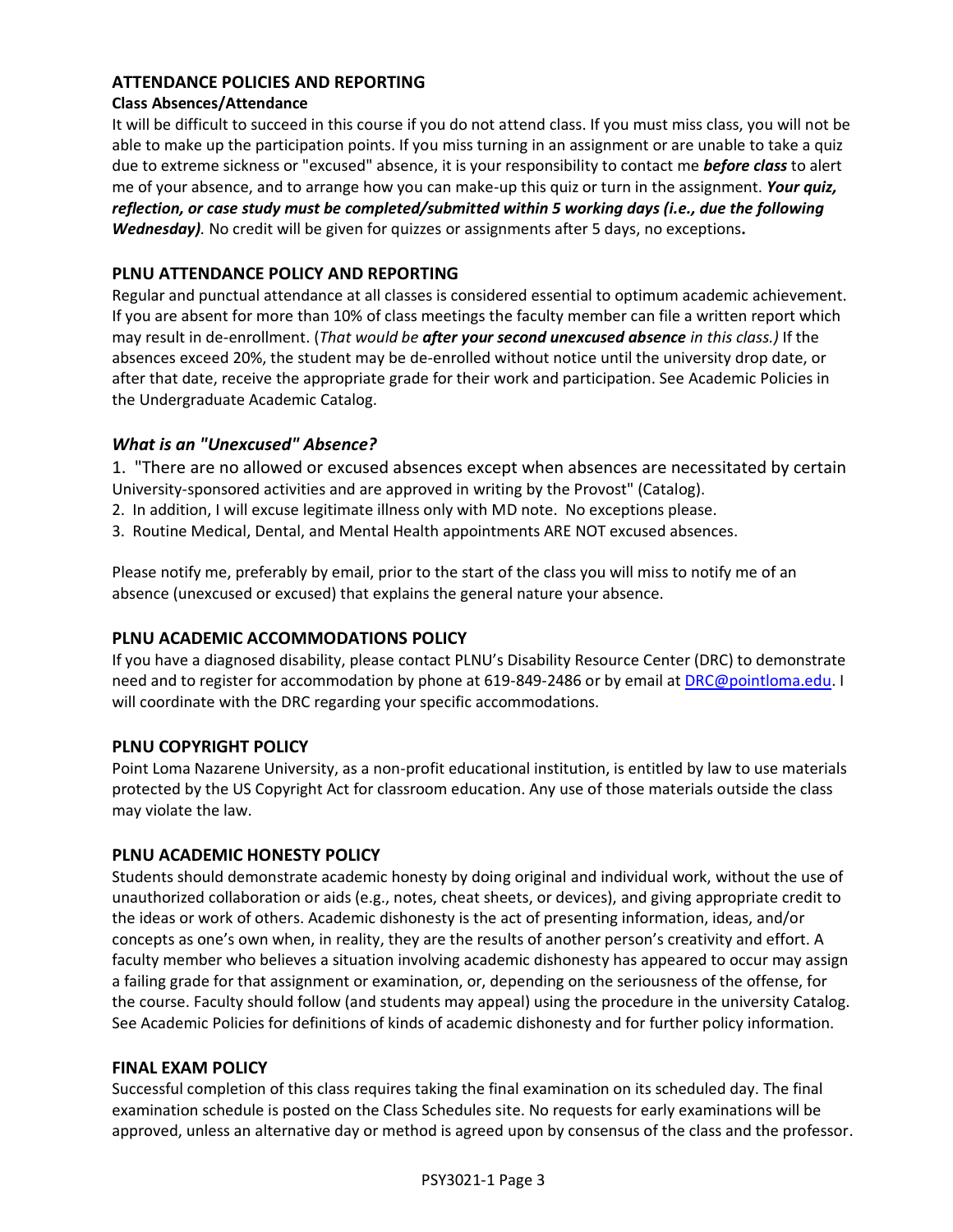## **ATTENDANCE POLICIES AND REPORTING**

#### **Class Absences/Attendance**

It will be difficult to succeed in this course if you do not attend class. If you must miss class, you will not be able to make up the participation points. If you miss turning in an assignment or are unable to take a quiz due to extreme sickness or "excused" absence, it is your responsibility to contact me *before class* to alert me of your absence, and to arrange how you can make-up this quiz or turn in the assignment. *Your quiz, reflection, or case study must be completed/submitted within 5 working days (i.e., due the following Wednesday).* No credit will be given for quizzes or assignments after 5 days, no exceptions**.**

## **PLNU ATTENDANCE POLICY AND REPORTING**

Regular and punctual attendance at all classes is considered essential to optimum academic achievement. If you are absent for more than 10% of class meetings the faculty member can file a written report which may result in de-enrollment. (*That would be after your second unexcused absence in this class.)* If the absences exceed 20%, the student may be de-enrolled without notice until the university drop date, or after that date, receive the appropriate grade for their work and participation. See Academic Policies in the Undergraduate Academic Catalog.

## *What is an "Unexcused" Absence?*

1. "There are no allowed or excused absences except when absences are necessitated by certain University-sponsored activities and are approved in writing by the Provost" (Catalog).

- 2. In addition, I will excuse legitimate illness only with MD note. No exceptions please.
- 3. Routine Medical, Dental, and Mental Health appointments ARE NOT excused absences.

Please notify me, preferably by email, prior to the start of the class you will miss to notify me of an absence (unexcused or excused) that explains the general nature your absence.

#### **PLNU ACADEMIC ACCOMMODATIONS POLICY**

If you have a diagnosed disability, please contact PLNU's Disability Resource Center (DRC) to demonstrate need and to register for accommodation by phone at 619-849-2486 or by email at [DRC@pointloma.edu.](mailto:DRC@pointloma.edu) I will coordinate with the DRC regarding your specific accommodations.

#### **PLNU COPYRIGHT POLICY**

Point Loma Nazarene University, as a non-profit educational institution, is entitled by law to use materials protected by the US Copyright Act for classroom education. Any use of those materials outside the class may violate the law.

#### **PLNU ACADEMIC HONESTY POLICY**

Students should demonstrate academic honesty by doing original and individual work, without the use of unauthorized collaboration or aids (e.g., notes, cheat sheets, or devices), and giving appropriate credit to the ideas or work of others. Academic dishonesty is the act of presenting information, ideas, and/or concepts as one's own when, in reality, they are the results of another person's creativity and effort. A faculty member who believes a situation involving academic dishonesty has appeared to occur may assign a failing grade for that assignment or examination, or, depending on the seriousness of the offense, for the course. Faculty should follow (and students may appeal) using the procedure in the university Catalog. See Academic Policies for definitions of kinds of academic dishonesty and for further policy information.

#### **FINAL EXAM POLICY**

Successful completion of this class requires taking the final examination on its scheduled day. The final examination schedule is posted on the Class Schedules site. No requests for early examinations will be approved, unless an alternative day or method is agreed upon by consensus of the class and the professor.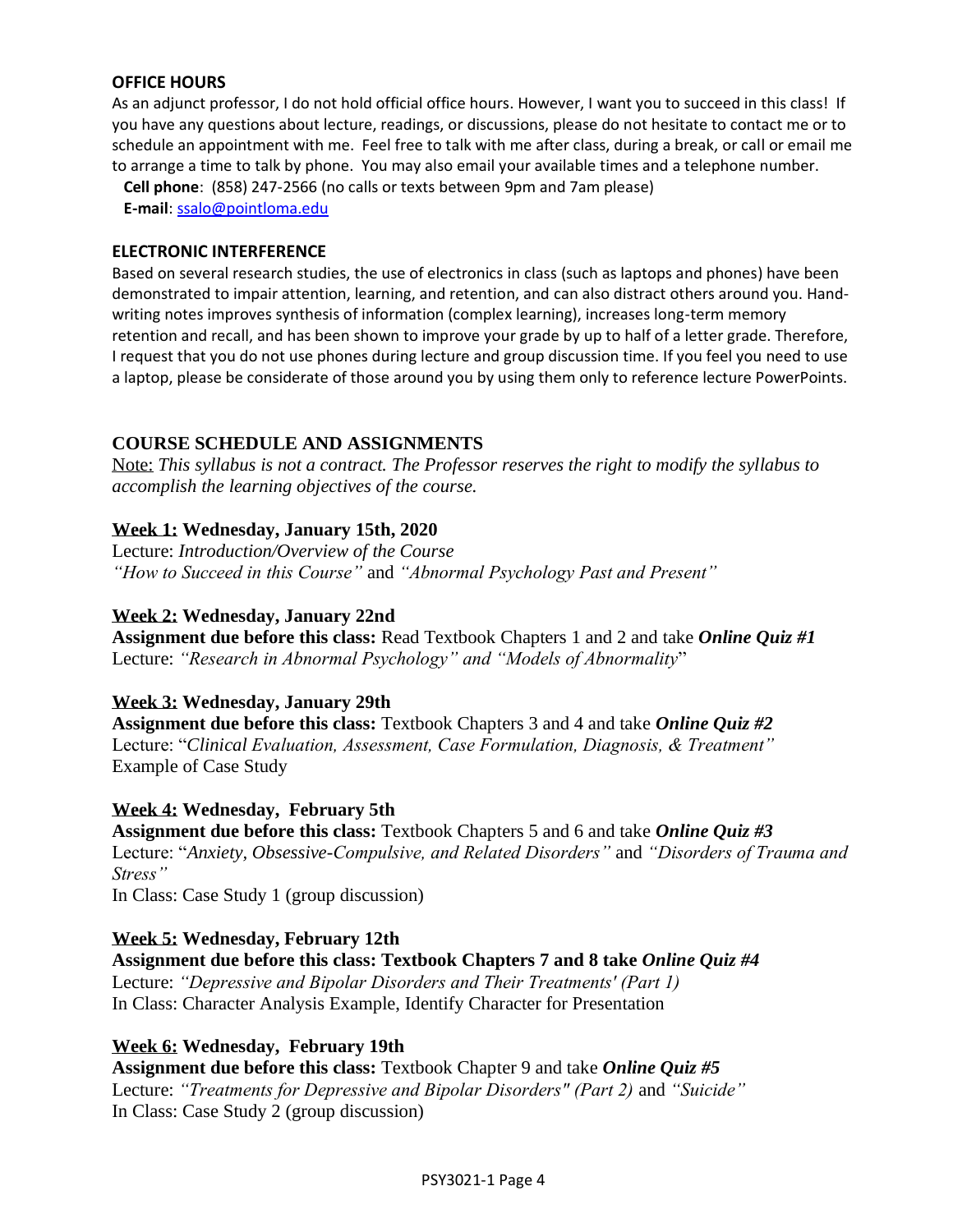## **OFFICE HOURS**

As an adjunct professor, I do not hold official office hours. However, I want you to succeed in this class! If you have any questions about lecture, readings, or discussions, please do not hesitate to contact me or to schedule an appointment with me. Feel free to talk with me after class, during a break, or call or email me to arrange a time to talk by phone. You may also email your available times and a telephone number.

 **Cell phone**: (858) 247-2566 (no calls or texts between 9pm and 7am please)  **E-mail**[: ssalo@pointloma.edu](mailto:ssalo@pointloma.edu)

#### **ELECTRONIC INTERFERENCE**

Based on several research studies, the use of electronics in class (such as laptops and phones) have been demonstrated to impair attention, learning, and retention, and can also distract others around you. Handwriting notes improves synthesis of information (complex learning), increases long-term memory retention and recall, and has been shown to improve your grade by up to half of a letter grade. Therefore, I request that you do not use phones during lecture and group discussion time. If you feel you need to use a laptop, please be considerate of those around you by using them only to reference lecture PowerPoints.

## **COURSE SCHEDULE AND ASSIGNMENTS**

Note: *This syllabus is not a contract. The Professor reserves the right to modify the syllabus to accomplish the learning objectives of the course.*

## **Week 1: Wednesday, January 15th, 2020**

Lecture: *Introduction/Overview of the Course "How to Succeed in this Course"* and *"Abnormal Psychology Past and Present"* 

### **Week 2: Wednesday, January 22nd**

**Assignment due before this class:** Read Textbook Chapters 1 and 2 and take *Online Quiz #1* Lecture: *"Research in Abnormal Psychology" and "Models of Abnormality*"

#### **Week 3: Wednesday, January 29th**

**Assignment due before this class:** Textbook Chapters 3 and 4 and take *Online Quiz #2*  Lecture: "*Clinical Evaluation, Assessment, Case Formulation, Diagnosis, & Treatment"* Example of Case Study

#### **Week 4: Wednesday, February 5th**

**Assignment due before this class:** Textbook Chapters 5 and 6 and take *Online Quiz #3*  Lecture: "*Anxiety, Obsessive-Compulsive, and Related Disorders"* and *"Disorders of Trauma and Stress"*

In Class: Case Study 1 (group discussion)

#### **Week 5: Wednesday, February 12th**

**Assignment due before this class: Textbook Chapters 7 and 8 take** *Online Quiz #4*  Lecture: *"Depressive and Bipolar Disorders and Their Treatments' (Part 1)* In Class: Character Analysis Example, Identify Character for Presentation

#### **Week 6: Wednesday, February 19th**

**Assignment due before this class:** Textbook Chapter 9 and take *Online Quiz #5*  Lecture: *"Treatments for Depressive and Bipolar Disorders" (Part 2)* and *"Suicide"* In Class: Case Study 2 (group discussion)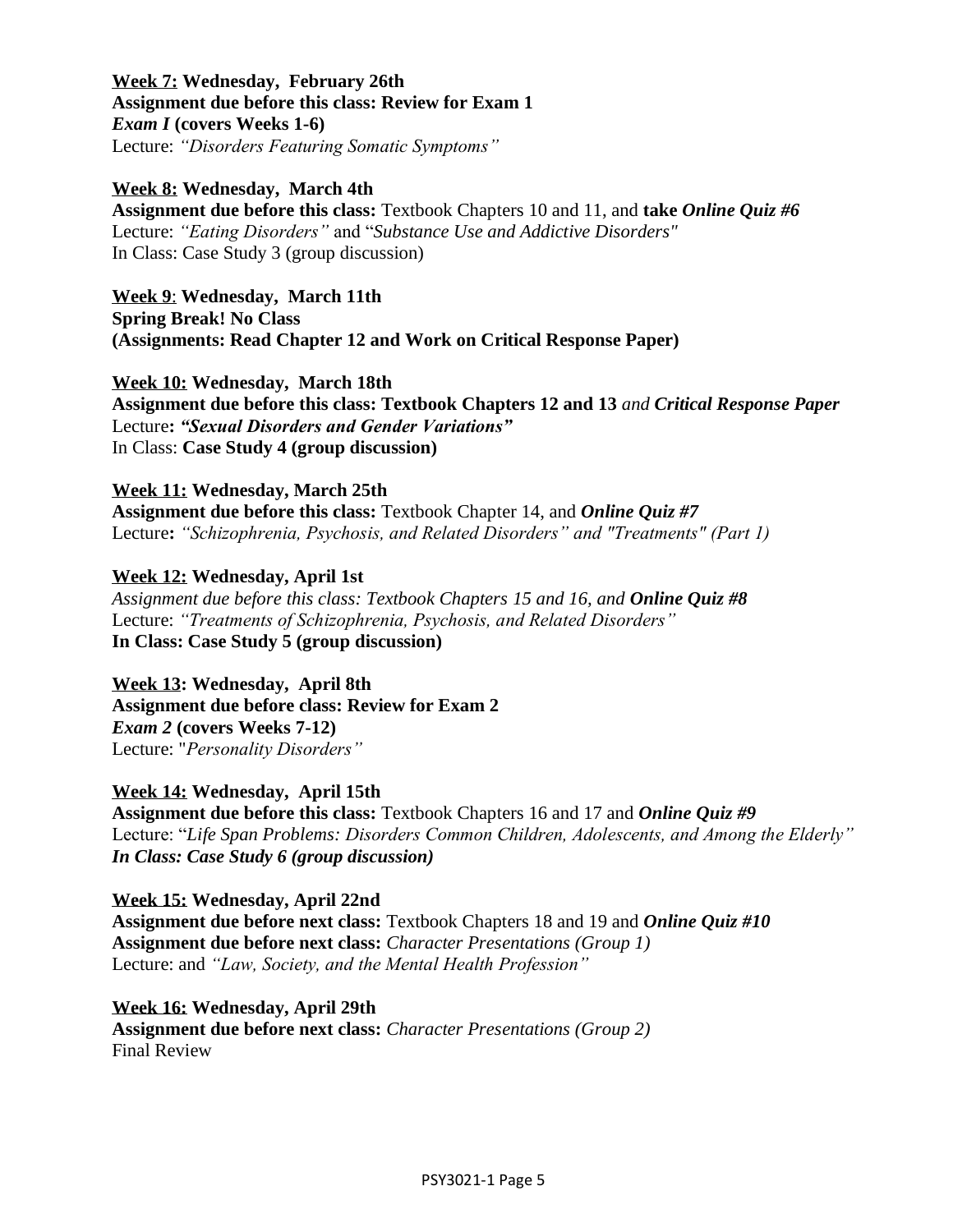# **Week 7: Wednesday, February 26th Assignment due before this class: Review for Exam 1** *Exam I* **(covers Weeks 1-6)** Lecture: *"Disorders Featuring Somatic Symptoms"*

**Week 8: Wednesday, March 4th**

**Assignment due before this class:** Textbook Chapters 10 and 11, and **take** *Online Quiz #6*  Lecture: *"Eating Disorders"* and "*Substance Use and Addictive Disorders"* In Class: Case Study 3 (group discussion)

**Week 9**: **Wednesday, March 11th Spring Break! No Class (Assignments: Read Chapter 12 and Work on Critical Response Paper)**

**Week 10: Wednesday, March 18th**

**Assignment due before this class: Textbook Chapters 12 and 13** *and Critical Response Paper* Lecture**:** *"Sexual Disorders and Gender Variations"*  In Class: **Case Study 4 (group discussion)**

### **Week 11: Wednesday, March 25th**

**Assignment due before this class:** Textbook Chapter 14, and *Online Quiz #7* Lecture**:** *"Schizophrenia, Psychosis, and Related Disorders" and "Treatments" (Part 1)*

## **Week 12: Wednesday, April 1st**

*Assignment due before this class: Textbook Chapters 15 and 16, and Online Quiz #8* Lecture: *"Treatments of Schizophrenia, Psychosis, and Related Disorders"* **In Class: Case Study 5 (group discussion)**

**Week 13: Wednesday, April 8th Assignment due before class: Review for Exam 2** *Exam 2* **(covers Weeks 7-12)** Lecture: "*Personality Disorders"*

#### **Week 14: Wednesday, April 15th**

**Assignment due before this class:** Textbook Chapters 16 and 17 and *Online Quiz #9*  Lecture: "*Life Span Problems: Disorders Common Children, Adolescents, and Among the Elderly" In Class: Case Study 6 (group discussion)*

**Week 15: Wednesday, April 22nd Assignment due before next class:** Textbook Chapters 18 and 19 and *Online Quiz #10* **Assignment due before next class:** *Character Presentations (Group 1)* Lecture: and *"Law, Society, and the Mental Health Profession"*

**Week 16: Wednesday, April 29th Assignment due before next class:** *Character Presentations (Group 2)* Final Review